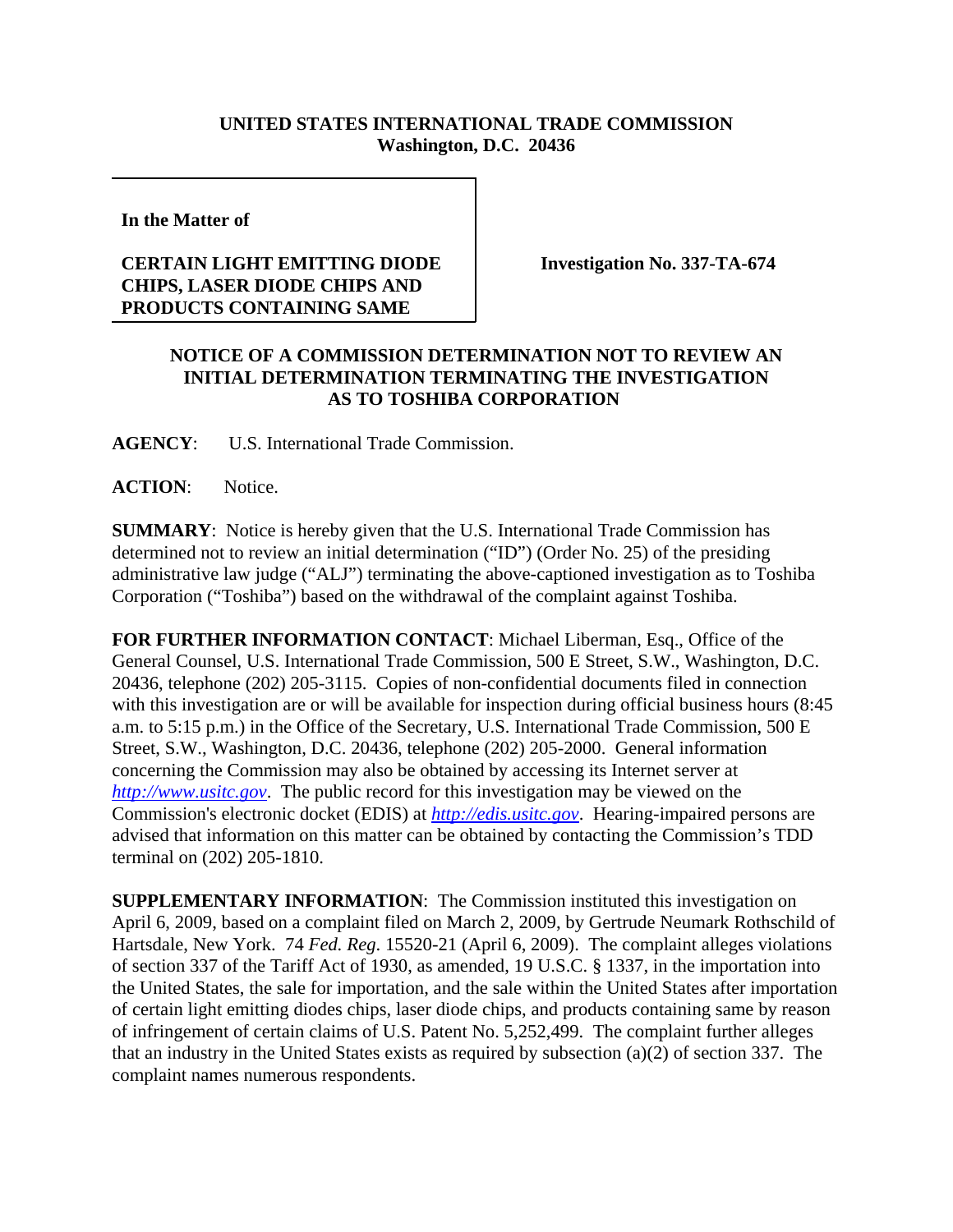## **UNITED STATES INTERNATIONAL TRADE COMMISSION Washington, D.C. 20436**

**In the Matter of** 

## **CERTAIN LIGHT EMITTING DIODE CHIPS, LASER DIODE CHIPS AND PRODUCTS CONTAINING SAME**

**Investigation No. 337-TA-674**

## **NOTICE OF A COMMISSION DETERMINATION NOT TO REVIEW AN INITIAL DETERMINATION TERMINATING THE INVESTIGATION AS TO TOSHIBA CORPORATION**

**AGENCY**: U.S. International Trade Commission.

ACTION: Notice.

**SUMMARY**: Notice is hereby given that the U.S. International Trade Commission has determined not to review an initial determination ("ID") (Order No. 25) of the presiding administrative law judge ("ALJ") terminating the above-captioned investigation as to Toshiba Corporation ("Toshiba") based on the withdrawal of the complaint against Toshiba.

**FOR FURTHER INFORMATION CONTACT**: Michael Liberman, Esq., Office of the General Counsel, U.S. International Trade Commission, 500 E Street, S.W., Washington, D.C. 20436, telephone (202) 205-3115. Copies of non-confidential documents filed in connection with this investigation are or will be available for inspection during official business hours (8:45 a.m. to 5:15 p.m.) in the Office of the Secretary, U.S. International Trade Commission, 500 E Street, S.W., Washington, D.C. 20436, telephone (202) 205-2000. General information concerning the Commission may also be obtained by accessing its Internet server at *http://www.usitc.gov*. The public record for this investigation may be viewed on the Commission's electronic docket (EDIS) at *http://edis.usitc.gov*. Hearing-impaired persons are advised that information on this matter can be obtained by contacting the Commission's TDD terminal on (202) 205-1810.

**SUPPLEMENTARY INFORMATION**: The Commission instituted this investigation on April 6, 2009, based on a complaint filed on March 2, 2009, by Gertrude Neumark Rothschild of Hartsdale, New York. 74 *Fed. Reg*. 15520-21 (April 6, 2009). The complaint alleges violations of section 337 of the Tariff Act of 1930, as amended, 19 U.S.C. § 1337, in the importation into the United States, the sale for importation, and the sale within the United States after importation of certain light emitting diodes chips, laser diode chips, and products containing same by reason of infringement of certain claims of U.S. Patent No. 5,252,499. The complaint further alleges that an industry in the United States exists as required by subsection (a)(2) of section 337. The complaint names numerous respondents.